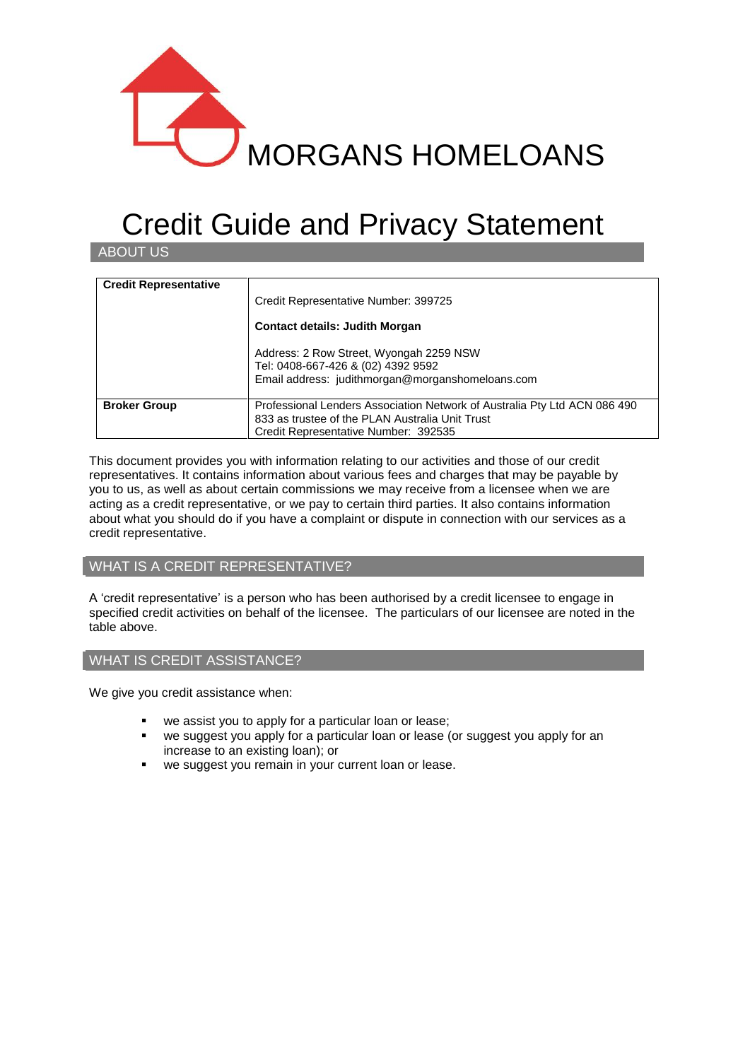

# Credit Guide and Privacy Statement

ABOUT US

| <b>Credit Representative</b> | Credit Representative Number: 399725<br><b>Contact details: Judith Morgan</b><br>Address: 2 Row Street, Wyongah 2259 NSW<br>Tel: 0408-667-426 & (02) 4392 9592<br>Email address: judithmorgan@morganshomeloans.com |
|------------------------------|--------------------------------------------------------------------------------------------------------------------------------------------------------------------------------------------------------------------|
| <b>Broker Group</b>          | Professional Lenders Association Network of Australia Pty Ltd ACN 086 490<br>833 as trustee of the PLAN Australia Unit Trust<br>Credit Representative Number: 392535                                               |

This document provides you with information relating to our activities and those of our credit representatives. It contains information about various fees and charges that may be payable by you to us, as well as about certain commissions we may receive from a licensee when we are acting as a credit representative, or we pay to certain third parties. It also contains information about what you should do if you have a complaint or dispute in connection with our services as a credit representative.

# WHAT IS A CREDIT REPRESENTATIVE?

A 'credit representative' is a person who has been authorised by a credit licensee to engage in specified credit activities on behalf of the licensee. The particulars of our licensee are noted in the table above.

## WHAT IS CREDIT ASSISTANCE?

We give you credit assistance when:

- we assist you to apply for a particular loan or lease;
- we suggest you apply for a particular loan or lease (or suggest you apply for an increase to an existing loan); or
- **we suggest you remain in your current loan or lease.**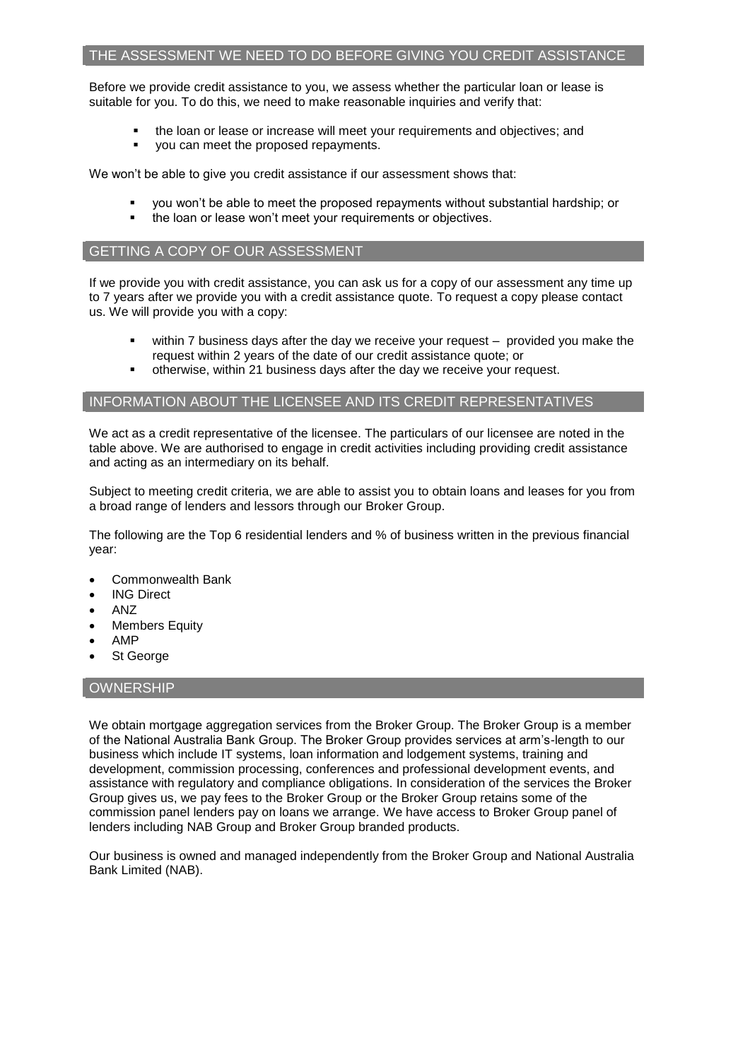#### THE ASSESSMENT WE NEED TO DO BEFORE GIVING YOU CREDIT ASSISTANCE

Before we provide credit assistance to you, we assess whether the particular loan or lease is suitable for you. To do this, we need to make reasonable inquiries and verify that:

- the loan or lease or increase will meet your requirements and objectives; and
- you can meet the proposed repayments.

We won't be able to give you credit assistance if our assessment shows that:

- you won't be able to meet the proposed repayments without substantial hardship; or
- the loan or lease won't meet your requirements or objectives.

## GETTING A COPY OF OUR ASSESSMENT

If we provide you with credit assistance, you can ask us for a copy of our assessment any time up to 7 years after we provide you with a credit assistance quote. To request a copy please contact us. We will provide you with a copy:

- within 7 business days after the day we receive your request provided you make the request within 2 years of the date of our credit assistance quote; or
- otherwise, within 21 business days after the day we receive your request.

#### INFORMATION ABOUT THE LICENSEE AND ITS CREDIT REPRESENTATIVES

We act as a credit representative of the licensee. The particulars of our licensee are noted in the table above. We are authorised to engage in credit activities including providing credit assistance and acting as an intermediary on its behalf.

Subject to meeting credit criteria, we are able to assist you to obtain loans and leases for you from a broad range of lenders and lessors through our Broker Group.

The following are the Top 6 residential lenders and % of business written in the previous financial year:

- Commonwealth Bank
- ING Direct
- ANZ
- Members Equity
- AMP
- St George

## **OWNERSHIP**

We obtain mortgage aggregation services from the Broker Group. The Broker Group is a member of the National Australia Bank Group. The Broker Group provides services at arm's-length to our business which include IT systems, loan information and lodgement systems, training and development, commission processing, conferences and professional development events, and assistance with regulatory and compliance obligations. In consideration of the services the Broker Group gives us, we pay fees to the Broker Group or the Broker Group retains some of the commission panel lenders pay on loans we arrange. We have access to Broker Group panel of lenders including NAB Group and Broker Group branded products.

Our business is owned and managed independently from the Broker Group and National Australia Bank Limited (NAB).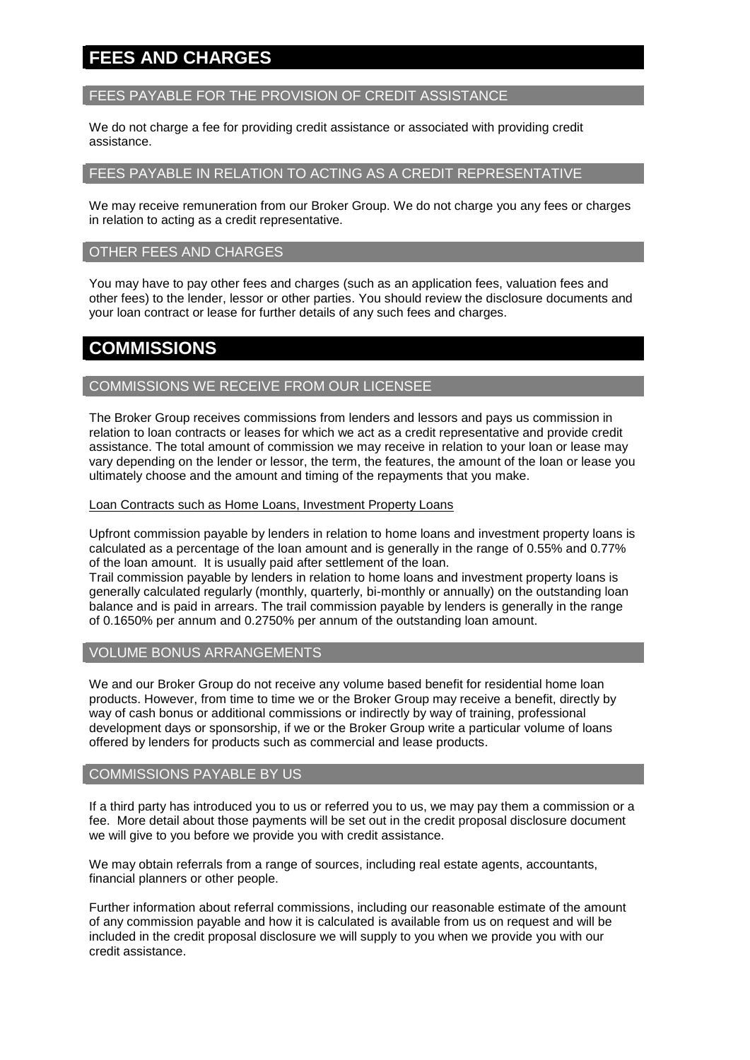# **FEES AND CHARGES**

# FEES PAYABLE FOR THE PROVISION OF CREDIT ASSISTANCE

We do not charge a fee for providing credit assistance or associated with providing credit assistance.

# FEES PAYABLE IN RELATION TO ACTING AS A CREDIT REPRESENTATIVE

We may receive remuneration from our Broker Group. We do not charge you any fees or charges in relation to acting as a credit representative.

## OTHER FEES AND CHARGES

You may have to pay other fees and charges (such as an application fees, valuation fees and other fees) to the lender, lessor or other parties. You should review the disclosure documents and your loan contract or lease for further details of any such fees and charges.

# **COMMISSIONS**

#### COMMISSIONS WE RECEIVE FROM OUR LICENSEE

The Broker Group receives commissions from lenders and lessors and pays us commission in relation to loan contracts or leases for which we act as a credit representative and provide credit assistance. The total amount of commission we may receive in relation to your loan or lease may vary depending on the lender or lessor, the term, the features, the amount of the loan or lease you ultimately choose and the amount and timing of the repayments that you make.

#### Loan Contracts such as Home Loans, Investment Property Loans

Upfront commission payable by lenders in relation to home loans and investment property loans is calculated as a percentage of the loan amount and is generally in the range of 0.55% and 0.77% of the loan amount. It is usually paid after settlement of the loan.

Trail commission payable by lenders in relation to home loans and investment property loans is generally calculated regularly (monthly, quarterly, bi-monthly or annually) on the outstanding loan balance and is paid in arrears. The trail commission payable by lenders is generally in the range of 0.1650% per annum and 0.2750% per annum of the outstanding loan amount.

#### VOLUME BONUS ARRANGEMENTS

We and our Broker Group do not receive any volume based benefit for residential home loan products. However, from time to time we or the Broker Group may receive a benefit, directly by way of cash bonus or additional commissions or indirectly by way of training, professional development days or sponsorship, if we or the Broker Group write a particular volume of loans offered by lenders for products such as commercial and lease products.

#### COMMISSIONS PAYABLE BY US

If a third party has introduced you to us or referred you to us, we may pay them a commission or a fee. More detail about those payments will be set out in the credit proposal disclosure document we will give to you before we provide you with credit assistance.

We may obtain referrals from a range of sources, including real estate agents, accountants, financial planners or other people.

Further information about referral commissions, including our reasonable estimate of the amount of any commission payable and how it is calculated is available from us on request and will be included in the credit proposal disclosure we will supply to you when we provide you with our credit assistance.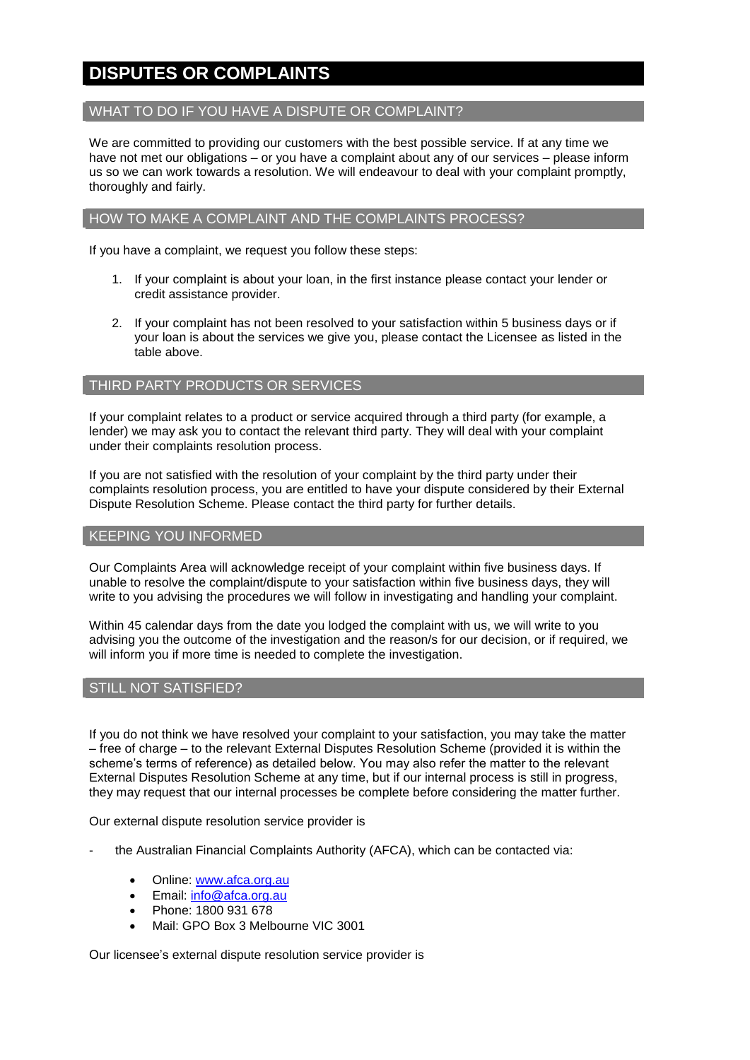# **DISPUTES OR COMPLAINTS**

# WHAT TO DO IF YOU HAVE A DISPUTE OR COMPLAINT?

We are committed to providing our customers with the best possible service. If at any time we have not met our obligations – or you have a complaint about any of our services – please inform us so we can work towards a resolution. We will endeavour to deal with your complaint promptly, thoroughly and fairly.

#### HOW TO MAKE A COMPLAINT AND THE COMPLAINTS PROCESS?

If you have a complaint, we request you follow these steps:

- 1. If your complaint is about your loan, in the first instance please contact your lender or credit assistance provider.
- 2. If your complaint has not been resolved to your satisfaction within 5 business days or if your loan is about the services we give you, please contact the Licensee as listed in the table above.

# THIRD PARTY PRODUCTS OR SERVICES

If your complaint relates to a product or service acquired through a third party (for example, a lender) we may ask you to contact the relevant third party. They will deal with your complaint under their complaints resolution process.

If you are not satisfied with the resolution of your complaint by the third party under their complaints resolution process, you are entitled to have your dispute considered by their External Dispute Resolution Scheme. Please contact the third party for further details.

#### KEEPING YOU INFORMED

Our Complaints Area will acknowledge receipt of your complaint within five business days. If unable to resolve the complaint/dispute to your satisfaction within five business days, they will write to you advising the procedures we will follow in investigating and handling your complaint.

Within 45 calendar days from the date you lodged the complaint with us, we will write to you advising you the outcome of the investigation and the reason/s for our decision, or if required, we will inform you if more time is needed to complete the investigation.

## STILL NOT SATISFIED?

If you do not think we have resolved your complaint to your satisfaction, you may take the matter – free of charge – to the relevant External Disputes Resolution Scheme (provided it is within the scheme's terms of reference) as detailed below. You may also refer the matter to the relevant External Disputes Resolution Scheme at any time, but if our internal process is still in progress, they may request that our internal processes be complete before considering the matter further.

Our external dispute resolution service provider is

- the Australian Financial Complaints Authority (AFCA), which can be contacted via:
	- Online: [www.afca.org.au](http://www.afca.org.au/)
	- Email: [info@afca.org.au](mailto:info@afc.org.au)
	- Phone: 1800 931 678
	- Mail: GPO Box 3 Melbourne VIC 3001

Our licensee's external dispute resolution service provider is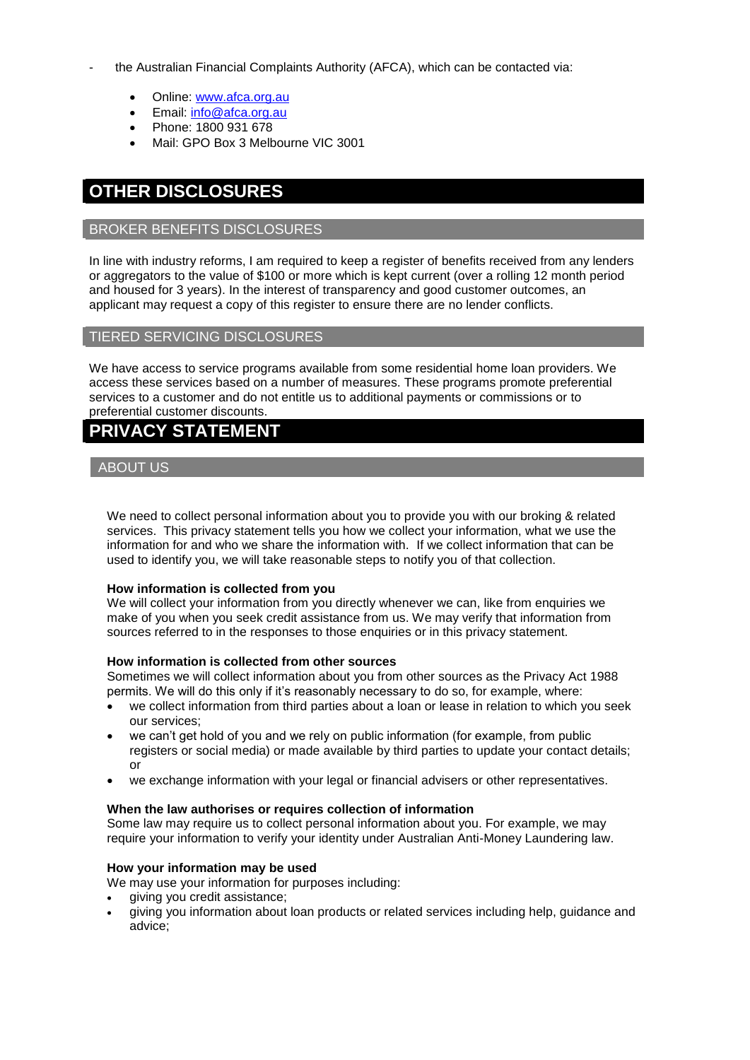- the Australian Financial Complaints Authority (AFCA), which can be contacted via:
	- Online: [www.afca.org.au](http://www.afca.org.au/)
	- Email: [info@afca.org.au](mailto:info@afc.org.au)
	- Phone: 1800 931 678
	- Mail: GPO Box 3 Melbourne VIC 3001

# **OTHER DISCLOSURES**

# BROKER BENEFITS DISCLOSURES

In line with industry reforms, I am required to keep a register of benefits received from any lenders or aggregators to the value of \$100 or more which is kept current (over a rolling 12 month period and housed for 3 years). In the interest of transparency and good customer outcomes, an applicant may request a copy of this register to ensure there are no lender conflicts.

#### TIERED SERVICING DISCLOSURES

We have access to service programs available from some residential home loan providers. We access these services based on a number of measures. These programs promote preferential services to a customer and do not entitle us to additional payments or commissions or to preferential customer discounts.

# **PRIVACY STATEMENT**

# ABOUT US

We need to collect personal information about you to provide you with our broking & related services. This privacy statement tells you how we collect your information, what we use the information for and who we share the information with. If we collect information that can be used to identify you, we will take reasonable steps to notify you of that collection.

#### **How information is collected from you**

We will collect your information from you directly whenever we can, like from enquiries we make of you when you seek credit assistance from us. We may verify that information from sources referred to in the responses to those enquiries or in this privacy statement.

#### **How information is collected from other sources**

Sometimes we will collect information about you from other sources as the Privacy Act 1988 permits. We will do this only if it's reasonably necessary to do so, for example, where:

- we collect information from third parties about a loan or lease in relation to which you seek our services;
- we can't get hold of you and we rely on public information (for example, from public registers or social media) or made available by third parties to update your contact details; or
- we exchange information with your legal or financial advisers or other representatives.

#### **When the law authorises or requires collection of information**

Some law may require us to collect personal information about you. For example, we may require your information to verify your identity under Australian Anti-Money Laundering law.

#### **How your information may be used**

We may use your information for purposes including:

- giving you credit assistance;
- giving you information about loan products or related services including help, guidance and advice;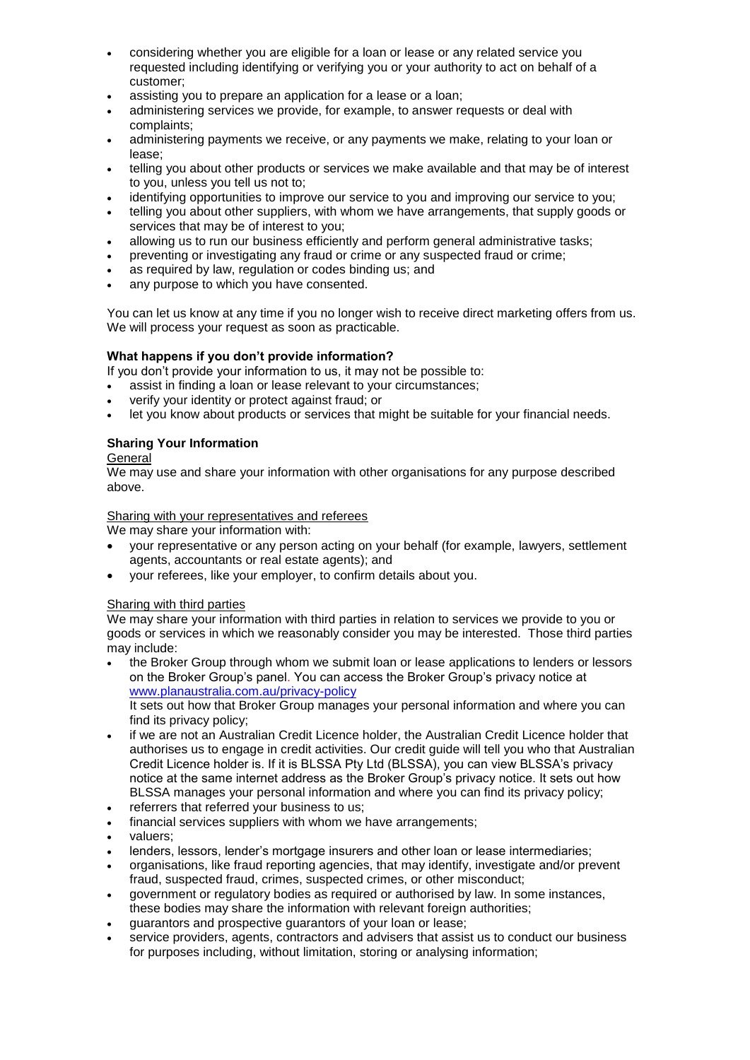- considering whether you are eligible for a loan or lease or any related service you requested including identifying or verifying you or your authority to act on behalf of a customer;
- assisting you to prepare an application for a lease or a loan;
- administering services we provide, for example, to answer requests or deal with complaints;
- administering payments we receive, or any payments we make, relating to your loan or lease;
- telling you about other products or services we make available and that may be of interest to you, unless you tell us not to;
- identifying opportunities to improve our service to you and improving our service to you;
- telling you about other suppliers, with whom we have arrangements, that supply goods or services that may be of interest to you;
- allowing us to run our business efficiently and perform general administrative tasks;
- preventing or investigating any fraud or crime or any suspected fraud or crime;
- as required by law, regulation or codes binding us; and
- any purpose to which you have consented.

You can let us know at any time if you no longer wish to receive direct marketing offers from us. We will process your request as soon as practicable.

# **What happens if you don't provide information?**

If you don't provide your information to us, it may not be possible to:

- assist in finding a loan or lease relevant to your circumstances;
- verify your identity or protect against fraud; or
- let you know about products or services that might be suitable for your financial needs.

# **Sharing Your Information**

# **General**

We may use and share your information with other organisations for any purpose described above.

# Sharing with your representatives and referees

We may share your information with:

- your representative or any person acting on your behalf (for example, lawyers, settlement agents, accountants or real estate agents); and
- your referees, like your employer, to confirm details about you.

## Sharing with third parties

We may share your information with third parties in relation to services we provide to you or goods or services in which we reasonably consider you may be interested. Those third parties may include:

 the Broker Group through whom we submit loan or lease applications to lenders or lessors on the Broker Group's panel. You can access the Broker Group's privacy notice at [www.planaustralia.com.au/privacy-](http://www.planaustralia.com.au/privacy)policy It sets out how that Broker Group manages your personal information and where you can

find its privacy policy;

- if we are not an Australian Credit Licence holder, the Australian Credit Licence holder that authorises us to engage in credit activities. Our credit guide will tell you who that Australian Credit Licence holder is. If it is BLSSA Pty Ltd (BLSSA), you can view BLSSA's privacy notice at the same internet address as the Broker Group's privacy notice. It sets out how BLSSA manages your personal information and where you can find its privacy policy;
- referrers that referred your business to us;
- financial services suppliers with whom we have arrangements;
- valuers;
- lenders, lessors, lender's mortgage insurers and other loan or lease intermediaries;
- organisations, like fraud reporting agencies, that may identify, investigate and/or prevent fraud, suspected fraud, crimes, suspected crimes, or other misconduct;
- government or regulatory bodies as required or authorised by law. In some instances, these bodies may share the information with relevant foreign authorities;
- guarantors and prospective guarantors of your loan or lease;
- service providers, agents, contractors and advisers that assist us to conduct our business for purposes including, without limitation, storing or analysing information;